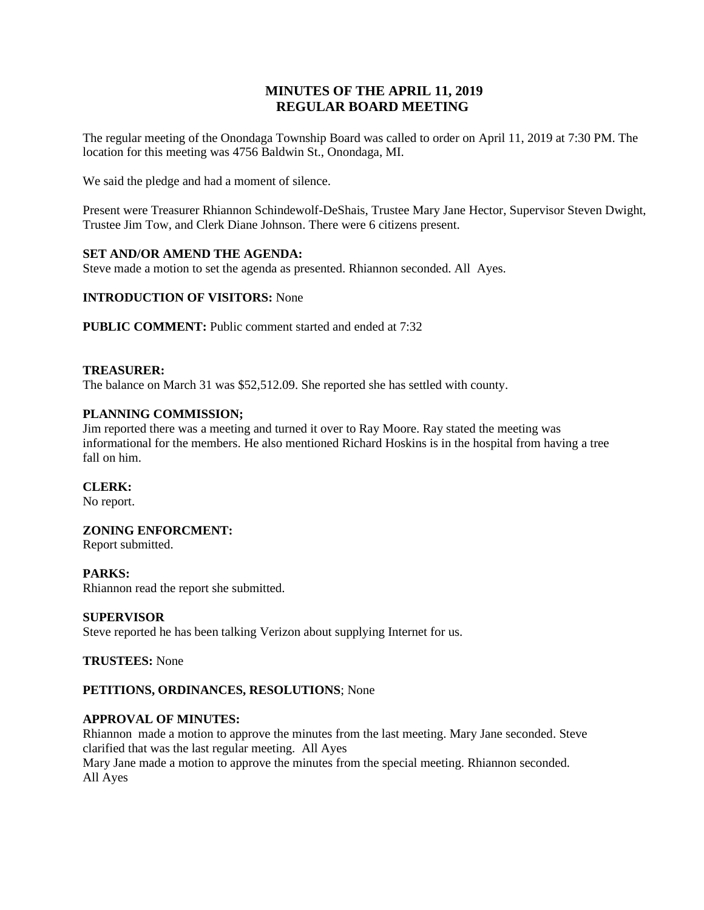# **MINUTES OF THE APRIL 11, 2019 REGULAR BOARD MEETING**

The regular meeting of the Onondaga Township Board was called to order on April 11, 2019 at 7:30 PM. The location for this meeting was 4756 Baldwin St., Onondaga, MI.

We said the pledge and had a moment of silence.

Present were Treasurer Rhiannon Schindewolf-DeShais, Trustee Mary Jane Hector, Supervisor Steven Dwight, Trustee Jim Tow, and Clerk Diane Johnson. There were 6 citizens present.

### **SET AND/OR AMEND THE AGENDA:**

Steve made a motion to set the agenda as presented. Rhiannon seconded. All Ayes.

### **INTRODUCTION OF VISITORS:** None

**PUBLIC COMMENT:** Public comment started and ended at 7:32

### **TREASURER:**

The balance on March 31 was \$52,512.09. She reported she has settled with county.

### **PLANNING COMMISSION;**

Jim reported there was a meeting and turned it over to Ray Moore. Ray stated the meeting was informational for the members. He also mentioned Richard Hoskins is in the hospital from having a tree fall on him.

### **CLERK:**

No report.

### **ZONING ENFORCMENT:**

Report submitted.

#### **PARKS:**

Rhiannon read the report she submitted.

#### **SUPERVISOR**

Steve reported he has been talking Verizon about supplying Internet for us.

**TRUSTEES:** None

#### **PETITIONS, ORDINANCES, RESOLUTIONS**; None

#### **APPROVAL OF MINUTES:**

Rhiannon made a motion to approve the minutes from the last meeting. Mary Jane seconded. Steve clarified that was the last regular meeting. All Ayes

Mary Jane made a motion to approve the minutes from the special meeting. Rhiannon seconded. All Ayes